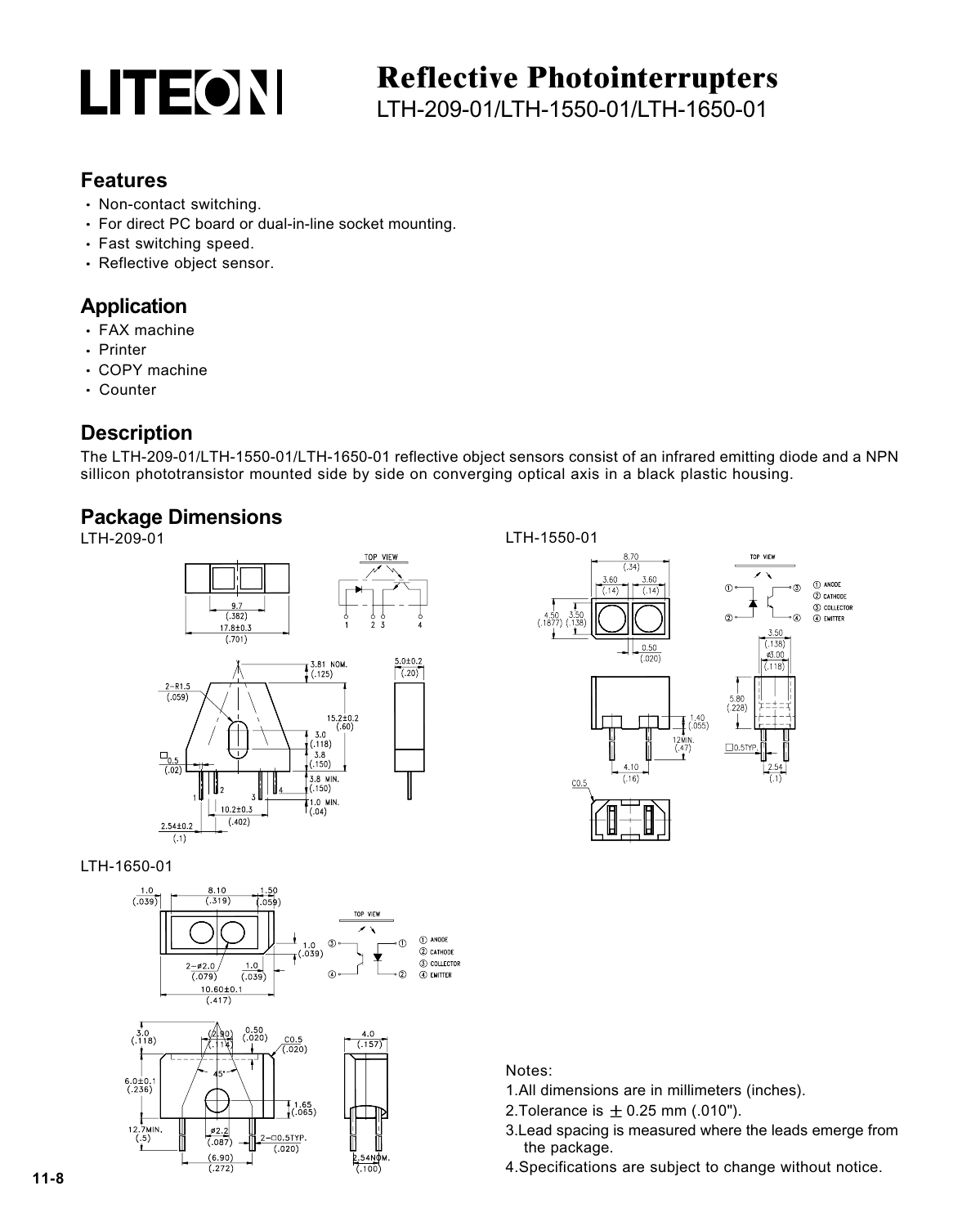

## **Reflective Photointerrupters**

LTH-209-01/LTH-1550-01/LTH-1650-01

#### **Features**

- Non-contact switching.
- For direct PC board or dual-in-line socket mounting.
- Fast switching speed.
- Reflective object sensor.

#### **Application**

- FAX machine
- Printer
- COPY machine
- Counter

#### **Description**

The LTH-209-01/LTH-1550-01/LTH-1650-01 reflective object sensors consist of an infrared emitting diode and a NPN sillicon phototransistor mounted side by side on converging optical axis in a black plastic housing.

### **Package Dimensions**







LTH-1650-01



Notes:

- 1.All dimensions are in millimeters (inches).
- 2. Tolerance is  $\pm 0.25$  mm (.010").
- 3.Lead spacing is measured where the leads emerge from the package.
- 4.Specifications are subject to change without notice.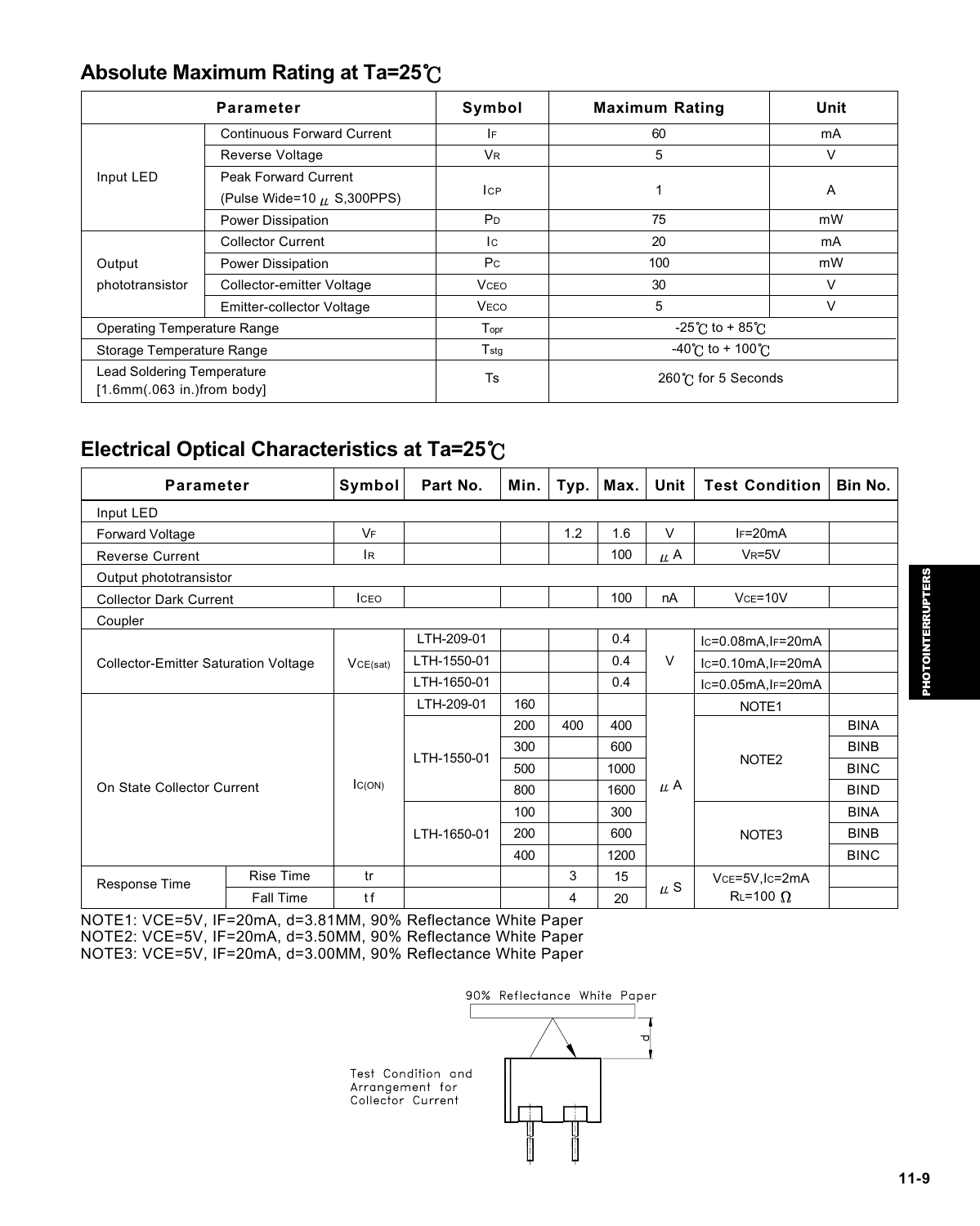#### **Absolute Maximum Rating at Ta=25**

| Parameter                                                             |                                   | Symbol         | <b>Maximum Rating</b>                 | Unit   |  |  |
|-----------------------------------------------------------------------|-----------------------------------|----------------|---------------------------------------|--------|--|--|
| Input LED                                                             | <b>Continuous Forward Current</b> | ١F             | 60                                    | mA     |  |  |
|                                                                       | Reverse Voltage                   | <b>VR</b>      | 5                                     | v      |  |  |
|                                                                       | Peak Forward Current              |                |                                       |        |  |  |
|                                                                       | (Pulse Wide=10 $\mu$ , S, 300PPS) | <b>ICP</b>     |                                       | A      |  |  |
|                                                                       | Power Dissipation                 | P <sub>D</sub> | 75                                    | mW     |  |  |
| Output<br>phototransistor                                             | <b>Collector Current</b>          | Ic.            | 20                                    | mA     |  |  |
|                                                                       | Power Dissipation                 | P <sub>C</sub> | 100                                   | mW     |  |  |
|                                                                       | Collector-emitter Voltage         | <b>VCEO</b>    | 30                                    | $\vee$ |  |  |
|                                                                       | Emitter-collector Voltage         | VECO           | 5                                     | V      |  |  |
| Operating Temperature Range                                           |                                   | Topr           | $-25^{\circ}$ C to + 85 $^{\circ}$ C  |        |  |  |
| Storage Temperature Range                                             |                                   | $T_{\rm stg}$  | $-40^{\circ}$ C to + 100 $^{\circ}$ C |        |  |  |
| <b>Lead Soldering Temperature</b><br>$[1.6$ mm $(.063$ in.)from body] |                                   | <b>Ts</b>      | 260℃ for 5 Seconds                    |        |  |  |

#### **Electrical Optical Characteristics at Ta=25**

| <b>Parameter</b>                            |                  | Symbol      | Part No.    | Min. | Typ. | Max. | Unit    | <b>Test Condition</b> | Bin No.     |
|---------------------------------------------|------------------|-------------|-------------|------|------|------|---------|-----------------------|-------------|
| Input LED                                   |                  |             |             |      |      |      |         |                       |             |
| Forward Voltage                             |                  | VF          |             |      | 1.2  | 1.6  | $\vee$  | $IF=20mA$             |             |
| <b>Reverse Current</b>                      |                  | IR.         |             |      |      | 100  | $\mu$ A | $V_R = 5V$            |             |
| Output phototransistor                      |                  |             |             |      |      |      |         |                       |             |
| <b>Collector Dark Current</b>               |                  | <b>ICEO</b> |             |      |      | 100  | nA      | $VCF = 10V$           |             |
| Coupler                                     |                  |             |             |      |      |      |         |                       |             |
|                                             |                  |             | LTH-209-01  |      |      | 0.4  |         | $lc=0.08mA, l=20mA$   |             |
| <b>Collector-Emitter Saturation Voltage</b> |                  | VCE(sat)    | LTH-1550-01 |      |      | 0.4  | $\vee$  | $lc=0.10mA, IF=20mA$  |             |
|                                             |                  |             | LTH-1650-01 |      |      | 0.4  |         | $lc=0.05mA, l=20mA$   |             |
| On State Collector Current                  |                  | IC(ON)      | LTH-209-01  | 160  |      |      | μA      | NOTE <sub>1</sub>     |             |
|                                             |                  |             | LTH-1550-01 | 200  | 400  | 400  |         | NOTE <sub>2</sub>     | <b>BINA</b> |
|                                             |                  |             |             | 300  |      | 600  |         |                       | <b>BINB</b> |
|                                             |                  |             |             | 500  |      | 1000 |         |                       | <b>BINC</b> |
|                                             |                  |             |             | 800  |      | 1600 |         |                       | <b>BIND</b> |
|                                             |                  |             | LTH-1650-01 | 100  |      | 300  |         | NOTE3                 | <b>BINA</b> |
|                                             |                  |             |             | 200  |      | 600  |         |                       | <b>BINB</b> |
|                                             |                  |             |             | 400  |      | 1200 |         |                       | <b>BINC</b> |
| Response Time                               | <b>Rise Time</b> | tr          |             |      | 3    | 15   | $\mu$ S | VcE=5V,Ic=2mA         |             |
|                                             | Fall Time        | tf          |             |      | 4    | 20   |         | $RL = 100 \Omega$     |             |

NOTE1: VCE=5V, IF=20mA, d=3.81MM, 90% Reflectance White Paper NOTE2: VCE=5V, IF=20mA, d=3.50MM, 90% Reflectance White Paper NOTE3: VCE=5V, IF=20mA, d=3.00MM, 90% Reflectance White Paper

# 90% Reflectance White Paper Test Condition and Arrangement for<br>Collector Current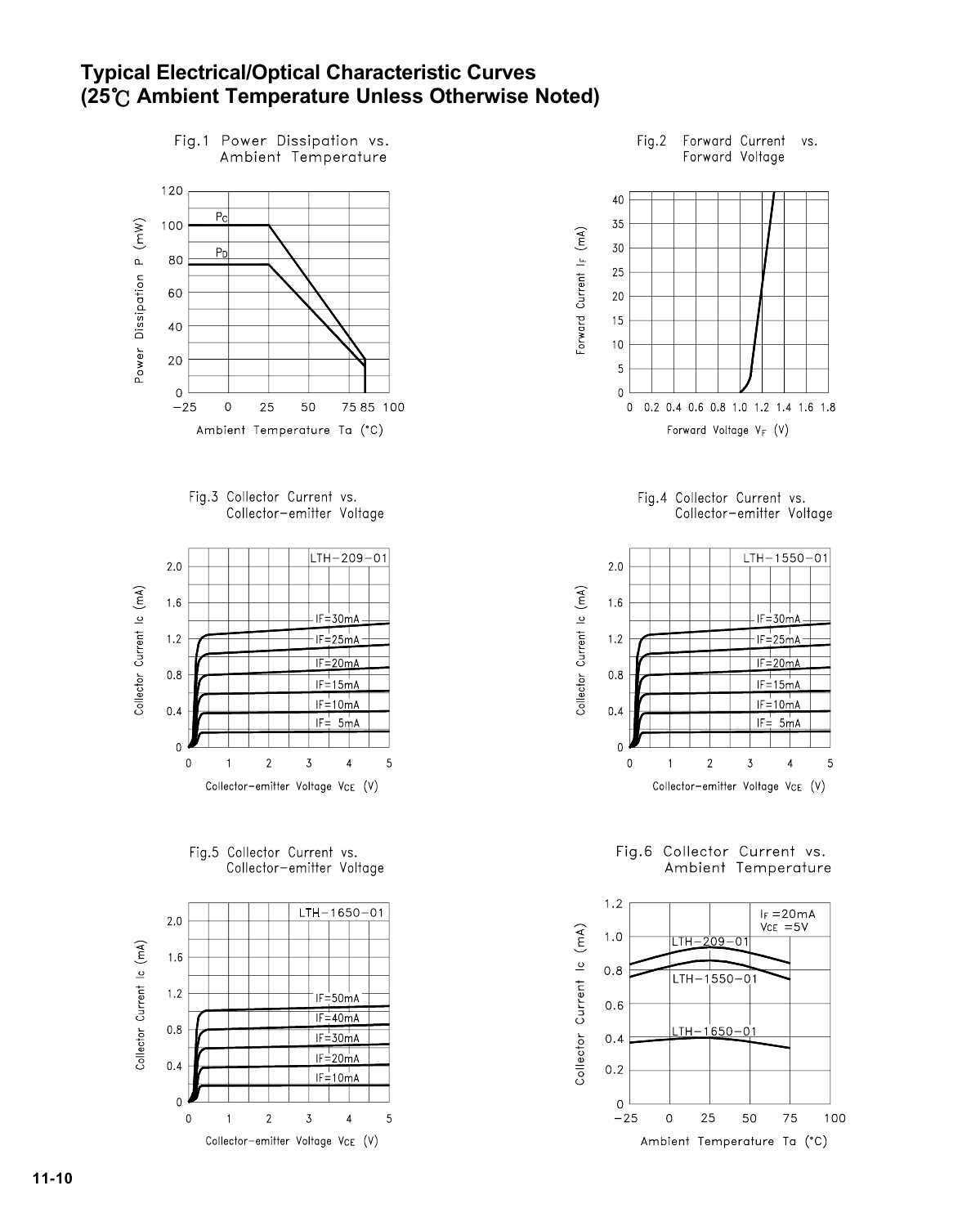#### **Typical Electrical/Optical Characteristic Curves (25 Ambient Temperature Unless Otherwise Noted)**











Fig.2 Forward Current vs. Forward Voltage







Fig.6 Collector Current vs. Ambient Temperature